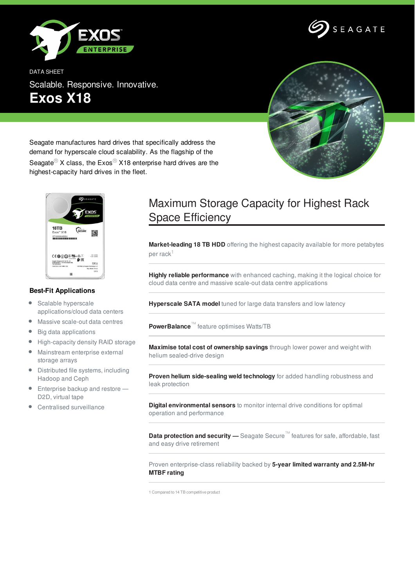



DATA SHEET Scalable. Responsive. Innovative. **Exos X18**



Seagate manufactures hard drives that specifically address the demand for hyperscale cloud scalability. As the flagship of the

Seagate<sup>®</sup> X class, the Exos<sup>®</sup> X18 enterprise hard drives are the highest-capacity hard drives in the fleet.



## **Best-Fit Applications**

- $\bullet$ Scalable hyperscale applications/cloud data centers
- $\bullet$ Massive scale-out data centres
- Big data applications  $\bullet$
- $\bullet$ High-capacity density RAID storage
- Mainstream enterprise external  $\bullet$ storage arrays
- Distributed file systems, including Hadoop and Ceph
- **Enterprise backup and restore** D2D, virtual tape
- Centralised surveillance

## Maximum Storage Capacity for Highest Rack Space Efficiency

**Market-leading 18 TB HDD** offering the highest capacity available for more petabytes per rack $^\mathrm{1}$ 

**Highly reliable performance** with enhanced caching, making it the logical choice for cloud data centre and massive scale-out data centre applications

**Hyperscale SATA model** tuned for large data transfers and low latency

**PowerBalance**™ feature optimises Watts/TB

**Maximise total cost of ownership savings** through lower power and weight with helium sealed-drive design

**Proven helium side-sealing weld technology** for added handling robustness and leak protection

**Digital environmental sensors** to monitor internal drive conditions for optimal operation and performance

**Data protection and security —** Seagate Secure™ features for safe, affordable, fast and easy drive retirement

Proven enterprise-class reliability backed by **5-year limited warranty and 2.5M-hr MTBF rating**

1 Compared to 14 TB competitive product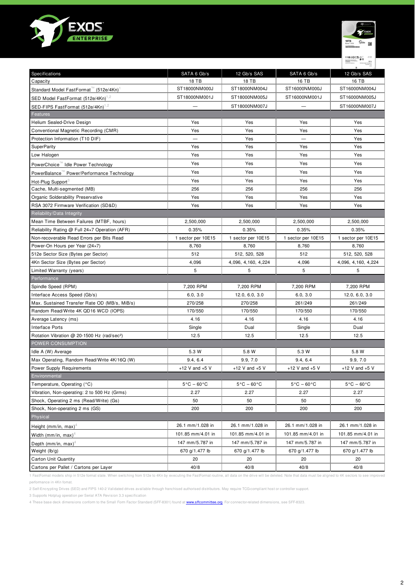



| Specifications                                          | SATA 6 Gb/s                     | 12 Gb/s SAS                     | SATA 6 Gb/s                     | 12 Gb/s SAS                     |
|---------------------------------------------------------|---------------------------------|---------------------------------|---------------------------------|---------------------------------|
| Capacity                                                | 18 TB                           | 18 TB                           | 16 TB                           | 16 TB                           |
| Standard Model FastFormat™ (512e/4Kn)                   | ST18000NM000J                   | ST18000NM004J                   | ST16000NM000J                   | ST16000NM004J                   |
| SED Model FastFormat (512e/4Kn) <sup>1,2</sup>          | ST18000NM001J                   | ST18000NM005J                   | ST16000NM001J                   | ST16000NM005J                   |
| SED-FIPS FastFormat (512e/4Kn) <sup>1,2</sup>           |                                 | ST18000NM007J                   |                                 | ST16000NM007J                   |
| Features                                                |                                 |                                 |                                 |                                 |
| Helium Sealed-Drive Design                              | Yes                             | Yes                             | Yes                             | Yes                             |
| Conventional Magnetic Recording (CMR)                   | Yes                             | Yes                             | Yes                             | Yes                             |
| Protection Information (T10 DIF)                        |                                 | Yes                             |                                 | Yes                             |
| <b>SuperParity</b>                                      | Yes                             | Yes                             | Yes                             | Yes                             |
| Low Halogen                                             | Yes                             | Yes                             | Yes                             | Yes                             |
| PowerChoice™ Idle Power Technology                      | Yes                             | Yes                             | Yes                             | Yes                             |
| PowerBalance " Power/Performance Technology             | Yes                             | Yes                             | Yes                             | Yes                             |
| Hot-Plug Support <sup>3</sup>                           | Yes                             | Yes                             | Yes                             | Yes                             |
| Cache, Multi-segmented (MB)                             | 256                             | 256                             | 256                             | 256                             |
| Organic Solderability Preservative                      | Yes                             | Yes                             | Yes                             | Yes                             |
| RSA 3072 Firmware Verification (SD&D)                   | Yes                             | Yes                             | Yes                             | Yes                             |
| Reliability/Data Integrity                              |                                 |                                 |                                 |                                 |
| Mean Time Between Failures (MTBF, hours)                | 2,500,000                       | 2,500,000                       | 2,500,000                       | 2,500,000                       |
| Reliability Rating @ Full 24×7 Operation (AFR)          | 0.35%                           | 0.35%                           | 0.35%                           | 0.35%                           |
| Non-recoverable Read Errors per Bits Read               | 1 sector per 10E15              | 1 sector per 10E15              | 1 sector per 10E15              | 1 sector per 10E15              |
| Power-On Hours per Year (24x7)                          | 8,760                           | 8,760                           | 8,760                           | 8,760                           |
| 512e Sector Size (Bytes per Sector)                     | 512                             | 512, 520, 528                   | 512                             | 512, 520, 528                   |
| 4Kn Sector Size (Bytes per Sector)                      | 4,096                           | 4,096, 4,160, 4,224             | 4,096                           | 4,096, 4,160, 4,224             |
| Limited Warranty (years)                                | 5                               | 5                               | 5                               | 5                               |
| Performance                                             |                                 |                                 |                                 |                                 |
| Spindle Speed (RPM)                                     | 7,200 RPM                       | 7,200 RPM                       | 7,200 RPM                       | 7,200 RPM                       |
| Interface Access Speed (Gb/s)                           | 6.0, 3.0                        | 12.0, 6.0, 3.0                  | 6.0, 3.0                        | 12.0, 6.0, 3.0                  |
| Max. Sustained Transfer Rate OD (MB/s, MiB/s)           | 270/258                         | 270/258                         | 261/249                         | 261/249                         |
| Random Read/Write 4K QD16 WCD (IOPS)                    | 170/550                         | 170/550                         | 170/550                         | 170/550                         |
| Average Latency (ms)                                    | 4.16                            | 4.16                            | 4.16                            | 4.16                            |
| Interface Ports                                         | Single                          | Dual                            | Single                          | Dual                            |
| Rotation Vibration @ 20-1500 Hz (rad/sec <sup>2</sup> ) | 12.5                            | 12.5                            | 12.5                            | 12.5                            |
| POWER CONSUMPTION                                       |                                 |                                 |                                 |                                 |
| Idle A (W) Average                                      | 5.3 W                           | 5.8 W                           | 5.3 W                           | 5.8 W                           |
| Max Operating, Random Read/Write 4K/16Q (W)             | 9.4, 6.4                        | 9.9, 7.0                        | 9.4, 6.4                        | 9.9, 7.0                        |
| Power Supply Requirements                               | +12 V and $+5$ V                | +12 V and $+5$ V                | +12 V and $+5$ V                | +12 V and $+5$ V                |
| Environmental                                           |                                 |                                 |                                 |                                 |
| Temperature, Operating (°C)                             | $5^{\circ}$ C - 60 $^{\circ}$ C | $5^{\circ}$ C – 60 $^{\circ}$ C | $5^{\circ}$ C – 60 $^{\circ}$ C | $5^{\circ}$ C - 60 $^{\circ}$ C |
| Vibration, Non-operating: 2 to 500 Hz (Grms)            | 2.27                            | 2.27                            | 2.27                            | 2.27                            |
| Shock, Operating 2 ms (Read/Write) (Gs)                 | 50                              | 50                              | 50                              | 50                              |
| Shock, Non-operating 2 ms (GS)                          | 200                             | 200                             | 200                             | 200                             |
| Physical                                                |                                 |                                 |                                 |                                 |
| Height (mm/in, max) <sup>4</sup>                        | 26.1 mm/1.028 in                | 26.1 mm/1.028 in                | 26.1 mm/1.028 in                | 26.1 mm/1.028 in                |
| Width (mm/in, max) <sup>4</sup>                         | 101.85 mm/4.01 in               | 101.85 mm/4.01 in               | 101.85 mm/4.01 in               | 101.85 mm/4.01 in               |
| Depth (mm/in, max) <sup>4</sup>                         | 147 mm/5.787 in                 | 147 mm/5.787 in                 | 147 mm/5.787 in                 | 147 mm/5.787 in                 |
| Weight (lb/g)                                           | 670 g/1.477 lb                  | 670 g/1.477 lb                  | 670 g/1.477 lb                  | 670 g/1.477 lb                  |
| Carton Unit Quantity                                    | 20                              | 20                              | 20                              | 20                              |
| Cartons per Pallet / Cartons per Layer                  | 40/8                            | 40/8                            | 40/8                            | 40/8                            |

1 FastFormat models ship in 512e format state. When switching from 512e to 4Kn by executing the FastFormat routine, all data on the drive will be deleted. Note that data must be aligned to 4K sectors to see improved performance in 4Kn fomat.

.<br>2 Self-Encrypting Drives (SED) and FIPS 140-2 Validated drives available through franchised authorised distributors. May require TCG-compliant host or controller support.

3 Supports Hotplug operation per Serial ATA Revision 3.3 specification

4 These base deck dimensions conform to the Small Form Factor Standard (SFF-8301) found at <www.sffcommittee.org>. For connector-related dimensions, see SFF-8323.